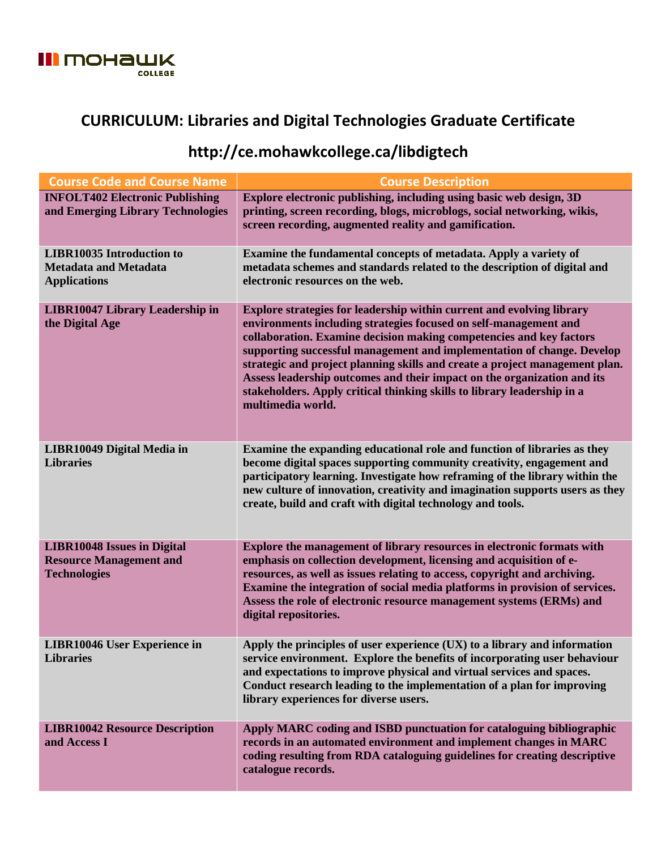

## **CURRICULUM: Libraries and Digital Technologies Graduate Certificate**

## **http://ce.mohawkcollege.ca/libdigtech**

| <b>Course Code and Course Name</b>                                                          | <b>Course Description</b>                                                                                                                                                                                                                                                                                                                                                                                                                                                                                                                            |
|---------------------------------------------------------------------------------------------|------------------------------------------------------------------------------------------------------------------------------------------------------------------------------------------------------------------------------------------------------------------------------------------------------------------------------------------------------------------------------------------------------------------------------------------------------------------------------------------------------------------------------------------------------|
| <b>INFOLT402 Electronic Publishing</b><br>and Emerging Library Technologies                 | Explore electronic publishing, including using basic web design, 3D<br>printing, screen recording, blogs, microblogs, social networking, wikis,<br>screen recording, augmented reality and gamification.                                                                                                                                                                                                                                                                                                                                             |
| <b>LIBR10035 Introduction to</b><br><b>Metadata and Metadata</b><br><b>Applications</b>     | Examine the fundamental concepts of metadata. Apply a variety of<br>metadata schemes and standards related to the description of digital and<br>electronic resources on the web.                                                                                                                                                                                                                                                                                                                                                                     |
| <b>LIBR10047 Library Leadership in</b><br>the Digital Age                                   | Explore strategies for leadership within current and evolving library<br>environments including strategies focused on self-management and<br>collaboration. Examine decision making competencies and key factors<br>supporting successful management and implementation of change. Develop<br>strategic and project planning skills and create a project management plan.<br>Assess leadership outcomes and their impact on the organization and its<br>stakeholders. Apply critical thinking skills to library leadership in a<br>multimedia world. |
| LIBR10049 Digital Media in<br><b>Libraries</b>                                              | Examine the expanding educational role and function of libraries as they<br>become digital spaces supporting community creativity, engagement and<br>participatory learning. Investigate how reframing of the library within the<br>new culture of innovation, creativity and imagination supports users as they<br>create, build and craft with digital technology and tools.                                                                                                                                                                       |
| <b>LIBR10048 Issues in Digital</b><br><b>Resource Management and</b><br><b>Technologies</b> | Explore the management of library resources in electronic formats with<br>emphasis on collection development, licensing and acquisition of e-<br>resources, as well as issues relating to access, copyright and archiving.<br>Examine the integration of social media platforms in provision of services.<br>Assess the role of electronic resource management systems (ERMs) and<br>digital repositories.                                                                                                                                           |
| <b>LIBR10046 User Experience in</b><br><b>Libraries</b>                                     | Apply the principles of user experience $(UX)$ to a library and information<br>service environment. Explore the benefits of incorporating user behaviour<br>and expectations to improve physical and virtual services and spaces.<br>Conduct research leading to the implementation of a plan for improving<br>library experiences for diverse users.                                                                                                                                                                                                |
| <b>LIBR10042 Resource Description</b><br>and Access I                                       | Apply MARC coding and ISBD punctuation for cataloguing bibliographic<br>records in an automated environment and implement changes in MARC<br>coding resulting from RDA cataloguing guidelines for creating descriptive<br>catalogue records.                                                                                                                                                                                                                                                                                                         |